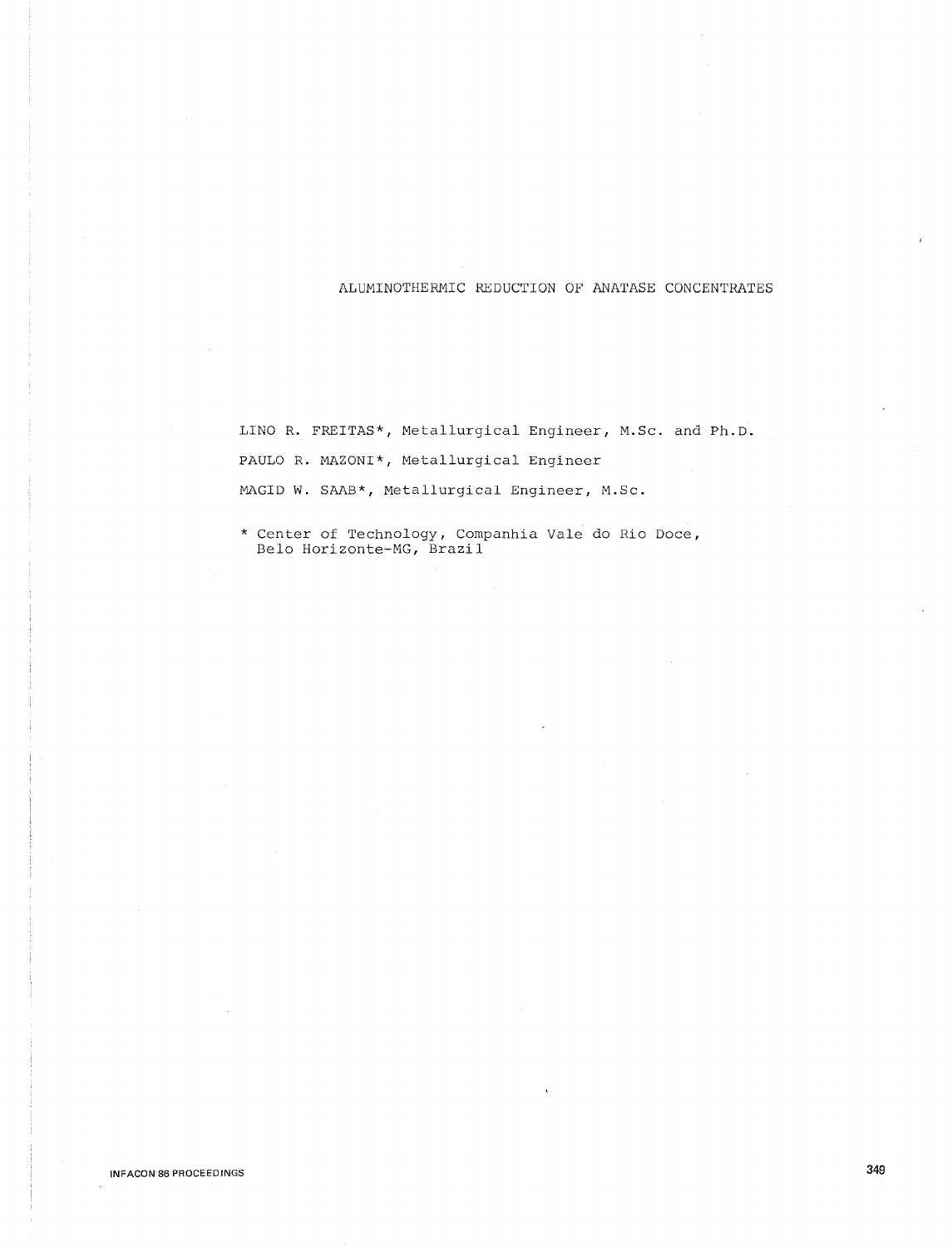## ALUMINOTHERMIC REDUCTION OF ANATASE CONCENTRATES

LINO R. FREITAS\*, Metallurgical Engineer, M.Sc. and Ph.D. PAULO R. MAZONI\*, Metallurgical Engineer MAGID W. SAAB\*, Metallurgical Engineer, M.Sc.

\* Center of Technology, Companhia Vale do Rio Doce, Belo Horizonte-MG, Brazil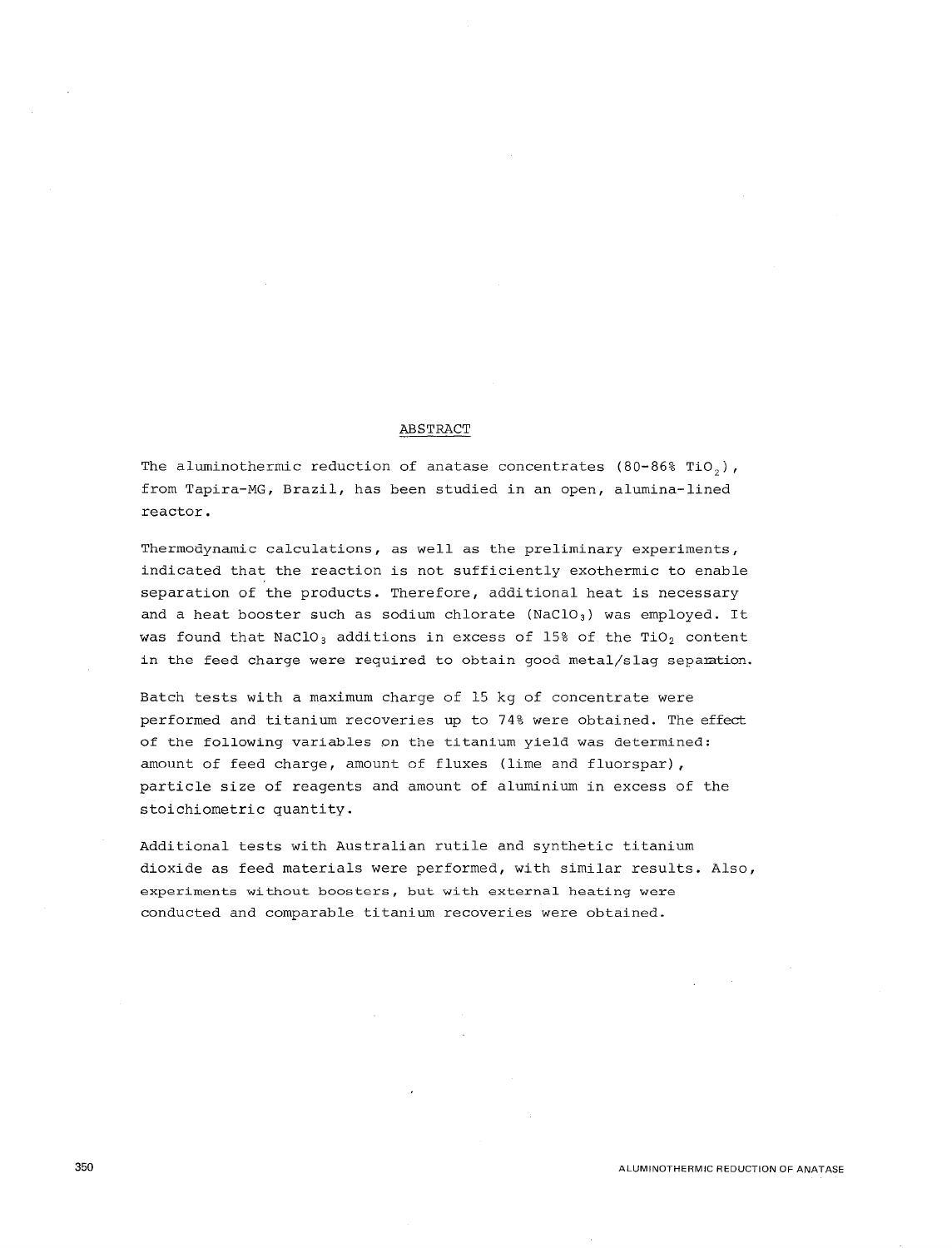### ABSTRACT

The aluminothermic reduction of anatase concentrates (80-86% TiO,), from Tapira-MG, Brazil, has been studied in an open, alumina-lined reactor.

Thermodynamic calculations, as well as the preliminary experiments, indicated that the reaction is not sufficiently exothermic to enable separation of the products. Therefore, additional heat is necessary and a heat booster such as sodium chlorate (NaClO<sub>3</sub>) was employed. It was found that  $NaClO<sub>3</sub>$  additions in excess of 15% of the TiO<sub>2</sub> content in the feed charge were required to obtain good metal/slag separation.

Batch tests with a maximum charge of 15 kg of concentrate were performed and titanium recoveries up to 74% were obtained. The effect of the following variables on the titanium yield was determined: amount of feed charge, amount of fluxes (lime and fluorspar), particle size of reagents and amount of aluminium in excess of the stoichiometric quantity.

Additional tests with Australian rutile and synthetic titanium dioxide as feed materials were performed, with similar results. Also, experiments without boosters, but with external heating were conducted and comparable titanium recoveries were obtained.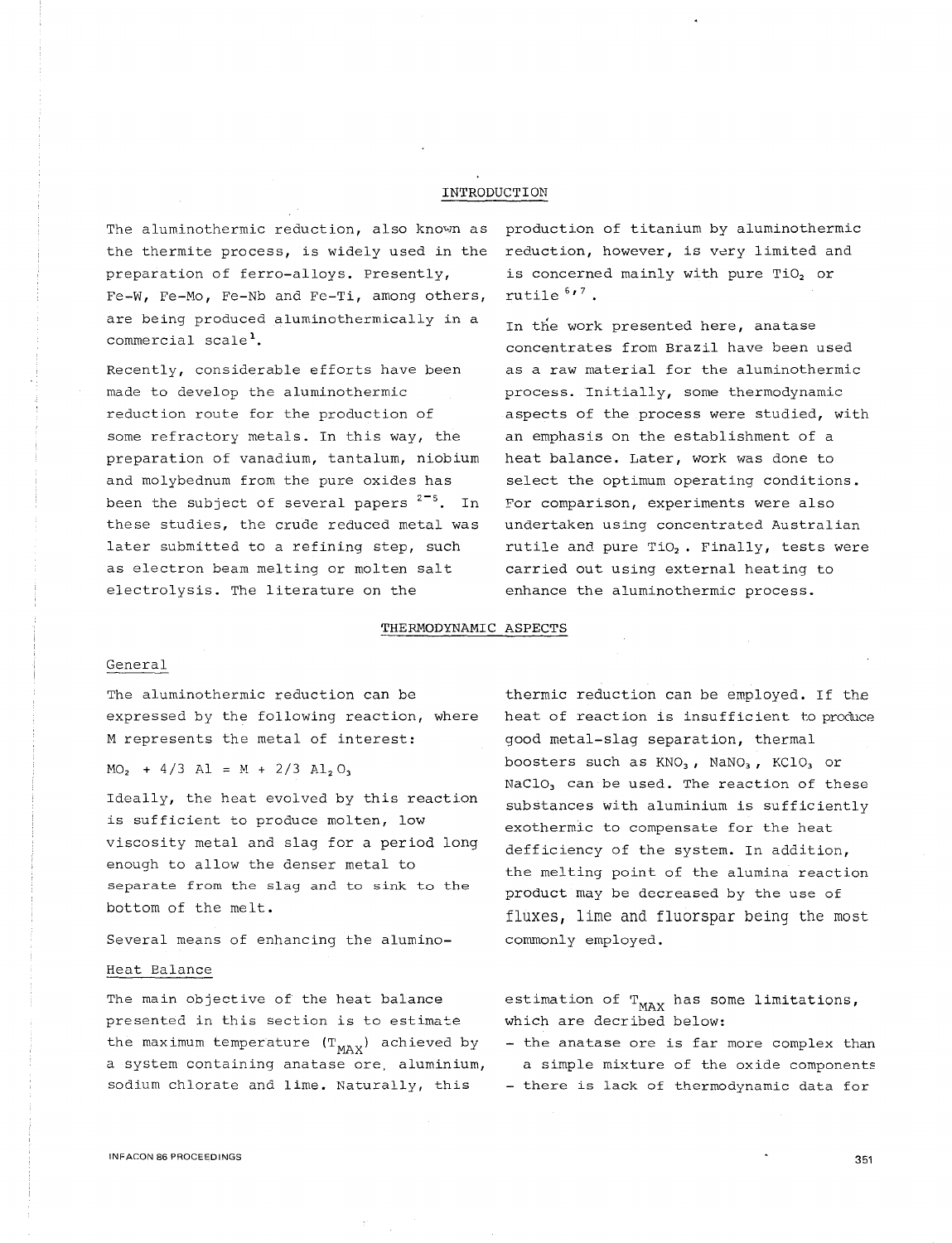# INTRODUCTION

The aluminothermic reduction, also known as production of titanium by aluminothermic the thermite process, is widely used in the reduction, however, is very limited and preparation of ferro-alloys. Presently, Fe-W, Fe-Mo, Fe-Nb and Fe-Ti, among others, are being produced aluminothermically in a commercial scale<sup>1</sup>.

Recently, considerable efforts have been made to develop the aluminothermic reduction route for the production of some refractory metals. In this way, the preparation of vanadium, tantalum, niobium and molybednum from the pure oxides has been the subject of several papers  $2^{-5}$ . In these studies, the crude reduced metal was later submitted to a refining step, such as electron beam melting or molten salt electrolysis. The literature on the

is concerned mainly with pure TiO<sub>2</sub> or rutile  $617$ .

In the work presented here, anatase concentrates from Brazil have been used as a raw material for the aluminothermic process. Initially, some thermodynamic aspects of the process were studied, with an emphasis on the establishment of a heat balance. Later, work was done to select the optimum operating conditions. For comparison, experiments were also undertaken using concentrated Australian rutile and pure  $TiO<sub>2</sub>$ . Finally, tests were carried out using external heating to enhance the aluminothermic process.

## THERMODYNAMIC ASPECTS

### General

The aluminothermic reduction can be expressed by the following reaction, where M represents the metal of interest:

 $MO_2$  + 4/3 Al = M + 2/3 Al<sub>2</sub> O<sub>3</sub>

Ideally, the heat evolved by this reaction is sufficient to produce molten, low viscosity metal and slag for a period long enough to allow the denser metal to separate from the slag and to sink to the bottom of the melt.

Several means of enhancing the alumino-

### Heat Balance

The main objective of the heat balance presented in this section is to estimate the maximum temperature  $(T_{MAX})$  achieved by a system containing anatase ore, aluminium, sodium chlorate and lime. Naturally, this

thermic reduction can be employed. If the heat of reaction is insufficient to produce good metal-slag separation, thermal boosters such as  $KNO<sub>3</sub>$ ,  $NANO<sub>3</sub>$ ,  $KClO<sub>3</sub>$  or NaClO<sub>3</sub> can be used. The reaction of these substances with aluminium is sufficiently exothermic to compensate for the heat defficiency of the system. In addition, the melting point of the alumina reaction product may be decreased by the use of fluxes, lime and fluorspar being the most commonly employed.

estimation of  $T_{MAX}$  has some limitations, which are decribed below:

- the anatase ore is far more complex than a simple mixture of the oxide components - there is lack of thermodynamic data for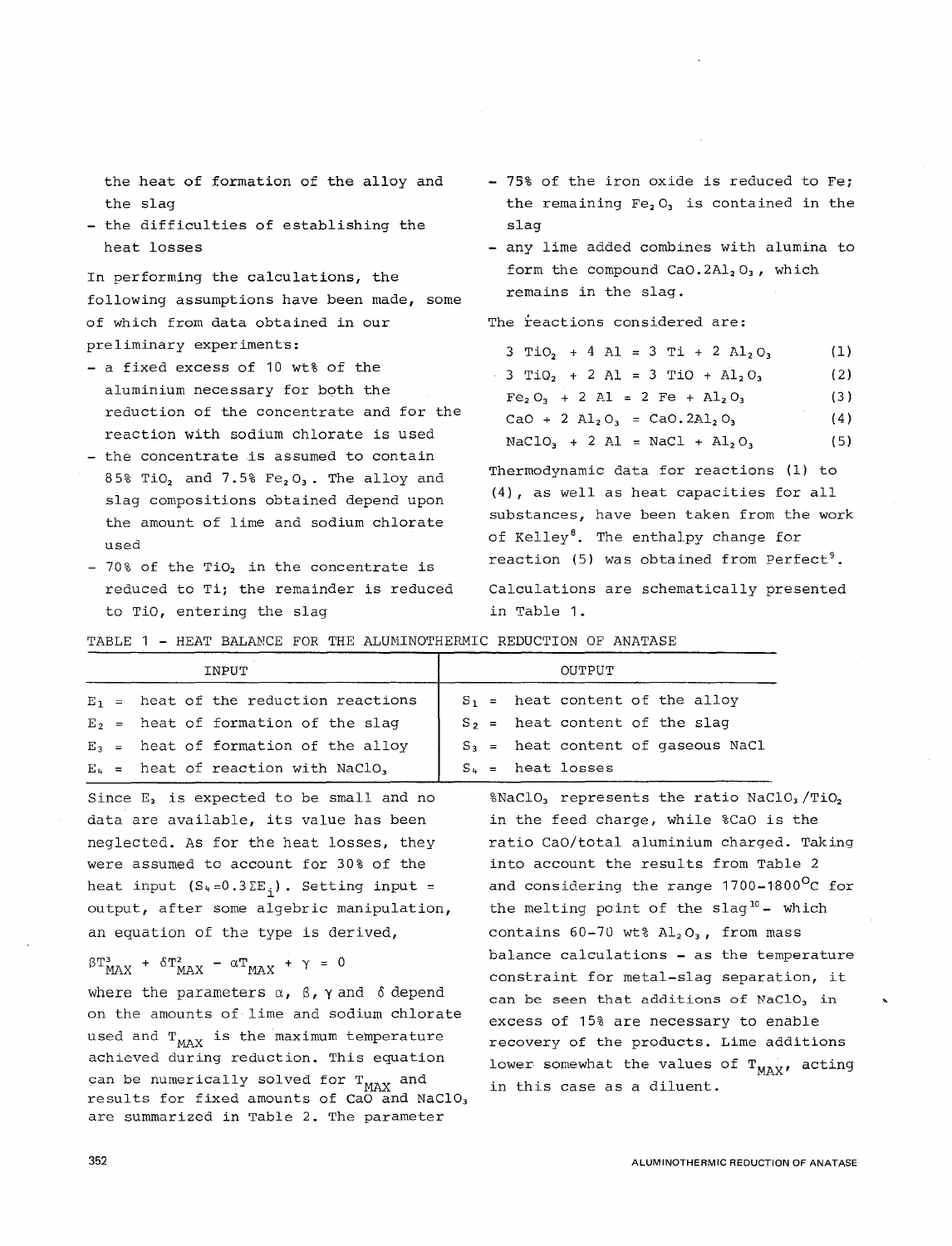the heat of formation of the alloy and the slag

- the difficulties of establishing the heat losses

In performing the calculations, the following assumptions have been made, some of which from data obtained in our preliminary experiments:

- a fixed excess of 10 wt% of the aluminium necessary for both the reduction of the concentrate and for the reaction with sodium chlorate is used
- the concentrate is assumed to contain 85% TiO<sub>2</sub> and 7.5% Fe<sub>2</sub>O<sub>3</sub>. The alloy and slag compositions obtained depend upon the amount of lime and sodium chlorate used
- $-70$ % of the TiO<sub>2</sub> in the concentrate is reduced to Ti; the remainder is reduced to TiO, entering the slag
- 75% of the iron oxide is reduced to Fe; the remaining  $Fe<sub>2</sub>O<sub>3</sub>$  is contained in the slag
- any lime added combines with alumina to form the compound  $CaO.2Al<sub>2</sub>O<sub>3</sub>$ , which remains in the slag.

The reactions considered are:

| $3 TiO2 + 4 Al = 3 Ti + 2 Al2O3$                                      | - (1) |
|-----------------------------------------------------------------------|-------|
| $-3$ TiQ <sub>2</sub> + 2 Al = 3 TiO + Al <sub>2</sub> O <sub>3</sub> | (2)   |
| $Fe_2O_3 + 2 Al = 2 Fe + Al_2O_3$                                     | (3)   |
| CaO + 2 $\text{Al}_2\text{O}_3$ = CaO. $2\text{Al}_2\text{O}_3$       | (4)   |
| $NaClO_1 + 2 Al = NaCl + Al_2O_3$                                     | (5)   |

Thermodynamic data for reactions (1) to (4), as well as heat capacities for all substances, have been taken from the work of Kelley<sup>8</sup>. The enthalpy change for reaction (5) was obtained from  $Pertect$ <sup>9</sup>. Calculations are schematically presented in Table 1.

|  |  |  |  |  |  |  | TABLE 1 - HEAT BALANCE FOR THE ALUMINOTHERMIC REDUCTION OF ANATASE |  |  |  |
|--|--|--|--|--|--|--|--------------------------------------------------------------------|--|--|--|
|--|--|--|--|--|--|--|--------------------------------------------------------------------|--|--|--|

| INPUT                                   | OUTPUT                               |
|-----------------------------------------|--------------------------------------|
| $E_1$ = heat of the reduction reactions | $S_1$ = heat content of the alloy    |
| $E_2$ = heat of formation of the slag   | $S_2$ = heat content of the slag     |
| $E_3$ = heat of formation of the alloy  | $S_3$ = heat content of gaseous NaCl |
| $E_+$ = heat of reaction with NaClO,    | $S_+$ = heat losses                  |

Since  $E_3$  is expected to be small and no data are available, its value has been neglected. As for the heat losses, they were assumed to account for 30% of the heat input  $(S_4=0.3\Sigma E_i)$ . Setting input = output, after some algebric manipulation, an equation of the type is derived,

$$
\beta T_{MAX}^{3} + \delta T_{MAX}^{2} - \alpha T_{MAX} + \gamma = 0
$$

where the parameters  $\alpha$ ,  $\beta$ ,  $\gamma$  and  $\delta$  depend on the amounts of lime and sodium chlorate used and  $T_{MAX}$  is the maximum temperature achieved during reduction. This equation can be numerically solved for  $T_{MAX}$  and results for fixed amounts of CaO and NaClO, are summarized in Table 2. The parameter

%NaClO<sub>3</sub> represents the ratio NaClO<sub>3</sub>/TiO<sub>2</sub> in the feed charge, while %Cao is the ratio Cao/total aluminium charged. Taking into account the results from Table 2 and considering the range 1700-1800<sup>O</sup>C for the melting point of the slag<sup>10</sup> - which contains  $60-70$  wt%  $Al_2O_3$ , from mass balance calculations - as the temperature constraint for metal-slag separation, it can be seen that additions of  $NaClO<sub>3</sub>$  in excess of 15% are necessary to enable recovery of the products. Lime additions lower somewhat the values of  $T_{MAX}$ , acting in this case as a diluent.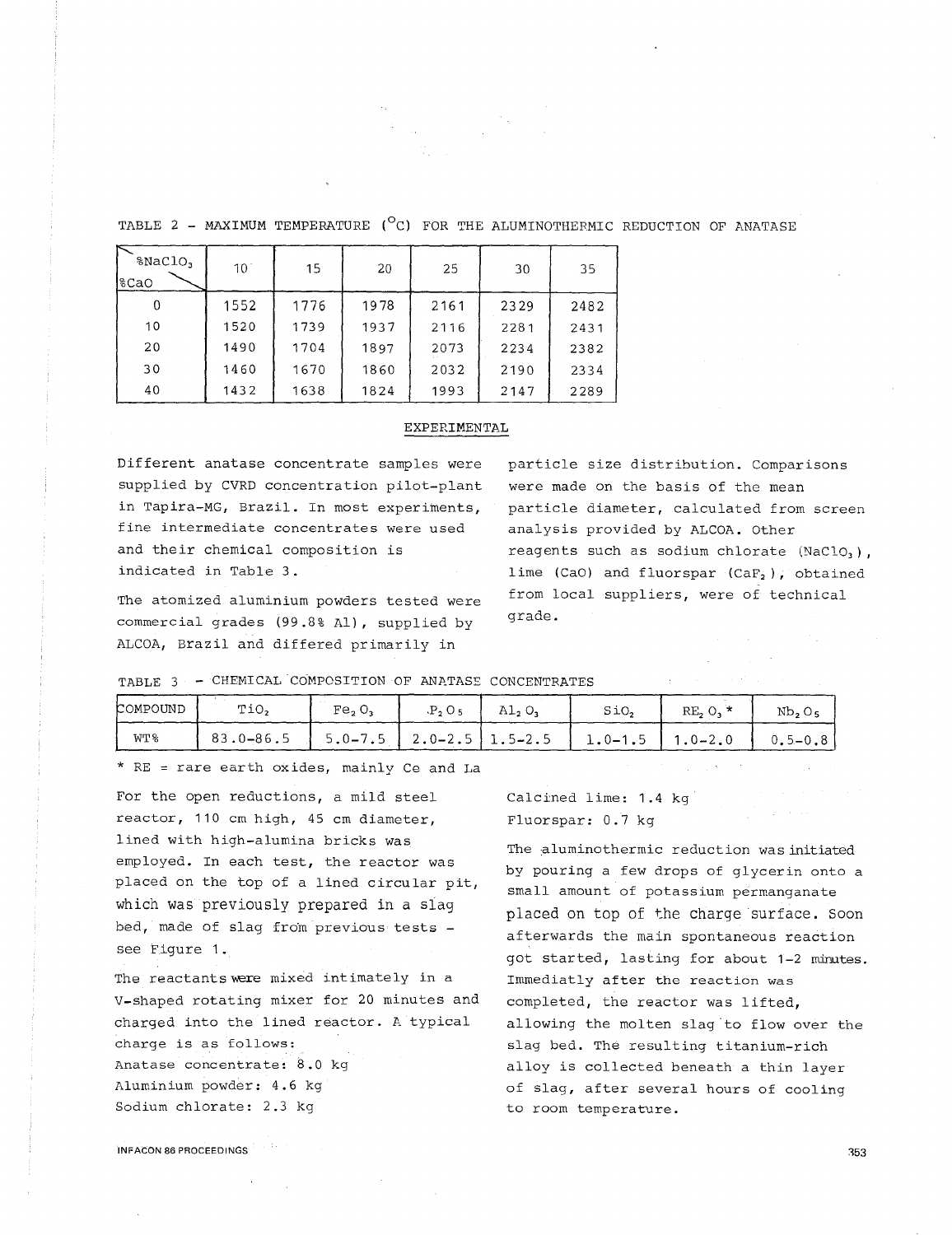TABLE 2 - MAXIMUM TEMPERATURE  $(^{\circ}C)$  for the aluminothermic reduction of anatase

| %NaClO,<br>8CaO | $10^{\circ}$ | 15   | 20   | 25   | 30   | 35   |
|-----------------|--------------|------|------|------|------|------|
| 0               | 1552         | 1776 | 1978 | 2161 | 2329 | 2482 |
| 10              | 1520         | 1739 | 1937 | 2116 | 2281 | 2431 |
| 20              | 1490         | 1704 | 1897 | 2073 | 2234 | 2382 |
| 30              | 1460         | 1670 | 1860 | 2032 | 2190 | 2334 |
| 40              | 1432         | 1638 | 1824 | 1993 | 2147 | 2289 |

# EXPERIMENTAL

Different anatase concentrate samples were supplied by CVRD concentration pilot-plant in Tapira-MG, Brazil. In most experiments, fine intermediate concentrates were used and their chemical composition is indicated in Table 3.

The atomized aluminium powders tested were commercial grades (99.8% Al), supplied by ALCOA, Brazil and differed primarily in

particle size distribution. Comparisons were made on the basis of the mean particle diameter, calculated from screen analysis provided by ALCOA. Other reagents such as sodium chlorate (NaClO3), lime (CaO) and fluorspar  $(CaF_2)$ , obtained from local suppliers, were of technical grade.

 $\mathcal{O}(\mathcal{O}(\log n))$  . The set of  $\mathcal{O}(\log n)$ 

TABLE 3 - CHEMICAL COMPOSITION OF ANATASE CONCENTRATES

| COMPOUND        | TiO,          | Fe, O,                        | Al, O, | SiO,        | RE, O,     | Nb, O,      |
|-----------------|---------------|-------------------------------|--------|-------------|------------|-------------|
| WT <sub>8</sub> | $83.0 - 86.5$ | $5.0-7.5$   2.0-2.5   1.5-2.5 |        | $1.0 - 1.5$ | $.0 - 2.0$ | $0.5 - 0.8$ |

\* RE = rare earth oxides, mainly Ce and La

For the open reductions, a mild steel reactor, 110 cm high, 45 cm diameter, lined with high-alumina bricks was employed. In each test, the reactor was placed on the top of a lined circular pit, which was previously prepared in a slag bed, made of slag from previous tests see Figure 1 .

The reactantswere mixed intimately in a V-shaped rotating mixer for 20 minutes and charged into the lined reactor. A typical charge is as follows: Anatase concentrate: 8.0 kg Aluminium powder: 4.6 kg Sodium chlorate: 2.3 kg

Calcined lime: 1.4 kg Fluorspar: 0.7 kg

The aluminothermic reduction was initiated by pouring a few drops of glycerin onto a small amount of potassium permanganate placed on top of the charge surface. Soon afterwards the main spontaneous reaction got started, lasting for about 1-2 minutes. Immediatly after the reaction was completed, the reactor was lifted, allowing the molten slag to flow over the slag bed. The resulting titanium-rich alloy is collected beneath a thin layer of slag, after several hours of cooling to room temperature.

INFACON 86 PROCEEDINGS

353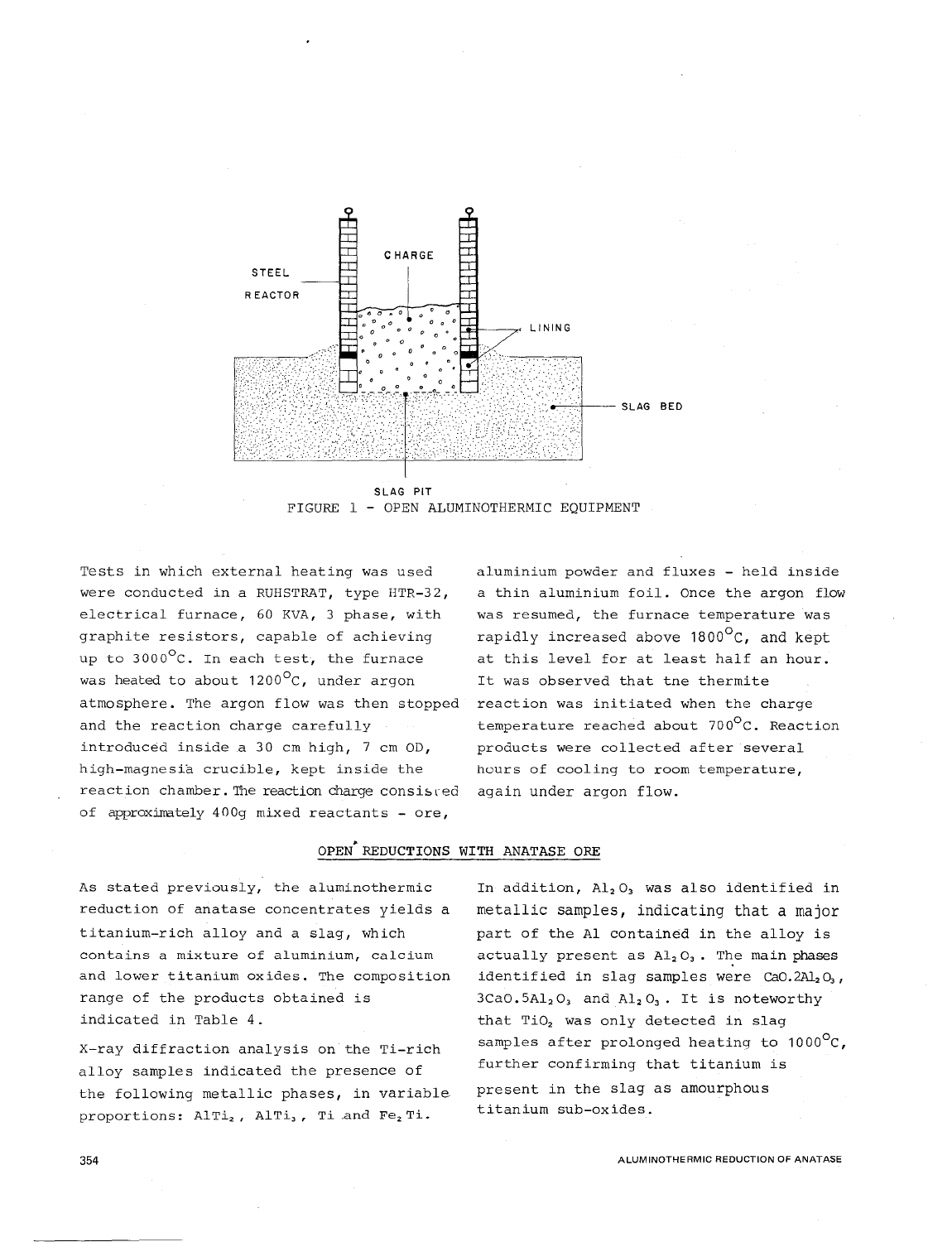

FIGURE 1 - OPEN ALUMINOTHERMIC EQUIPMENT

Tests in which external heating was used were conducted in a RUHSTRAT, type HTR-32, electrical furnace, 60 KVA, 3 phase, with graphite resistors, capable of achieving up to 3000°C. In each test, the furnace was heated to about  $1200^{\circ}$ C, under argon atmosphere. The argon flow was then stopped and the reaction charge carefully introduced inside a 30 cm high, 7 cm OD, high-magnesia crucible, kept inside the reaction chamber. The reaction charge consisted of approximately  $400q$  mixed reactants - ore,

aluminium powder and fluxes - held inside a thin aluminium foil. Once the argon flow was resumed, the furnace temperature was rapidly increased above 1800<sup>o</sup>C, and kept at this level for at least half an hour. It was observed that tne thermite reaction was initiated when the charge temperature reached about 700°c. Reaction products were collected after several hours of cooling to room temperature, again under argon flow.

# OPEN REDUCTIONS WITH ANATASE ORE

As stated previously, the aluminothermic reduction of anatase concentrates yields a titanium-rich alloy and a slag, which contains a mixture of aluminium, calcium and lower titanium oxides. The composition range of the products obtained is indicated in Table 4.

X-ray diffraction analysis on the Ti-rich alloy samples indicated the presence of the following metallic phases, in variable proportions:  $\text{AITi}_2$ ,  $\text{AITi}_3$ , Ti and Fe<sub>2</sub> Ti.

In addition,  $Al_2O_3$  was also identified in metallic samples, indicating that a major part of the Al contained in the alloy is actually present as  $Al_2O_3$ . The main phases identified in slag samples were  $CaO.2Al<sub>2</sub>O<sub>3</sub>$ ,  $3CaO.5Al<sub>2</sub>O<sub>3</sub>$  and  $Al<sub>2</sub>O<sub>3</sub>$ . It is noteworthy that TiO<sub>2</sub> was only detected in slag samples after prolonged heating to  $1000^{\circ}$ C, further confirming that titanium is present in the slag as amourphous titanium sub-oxides.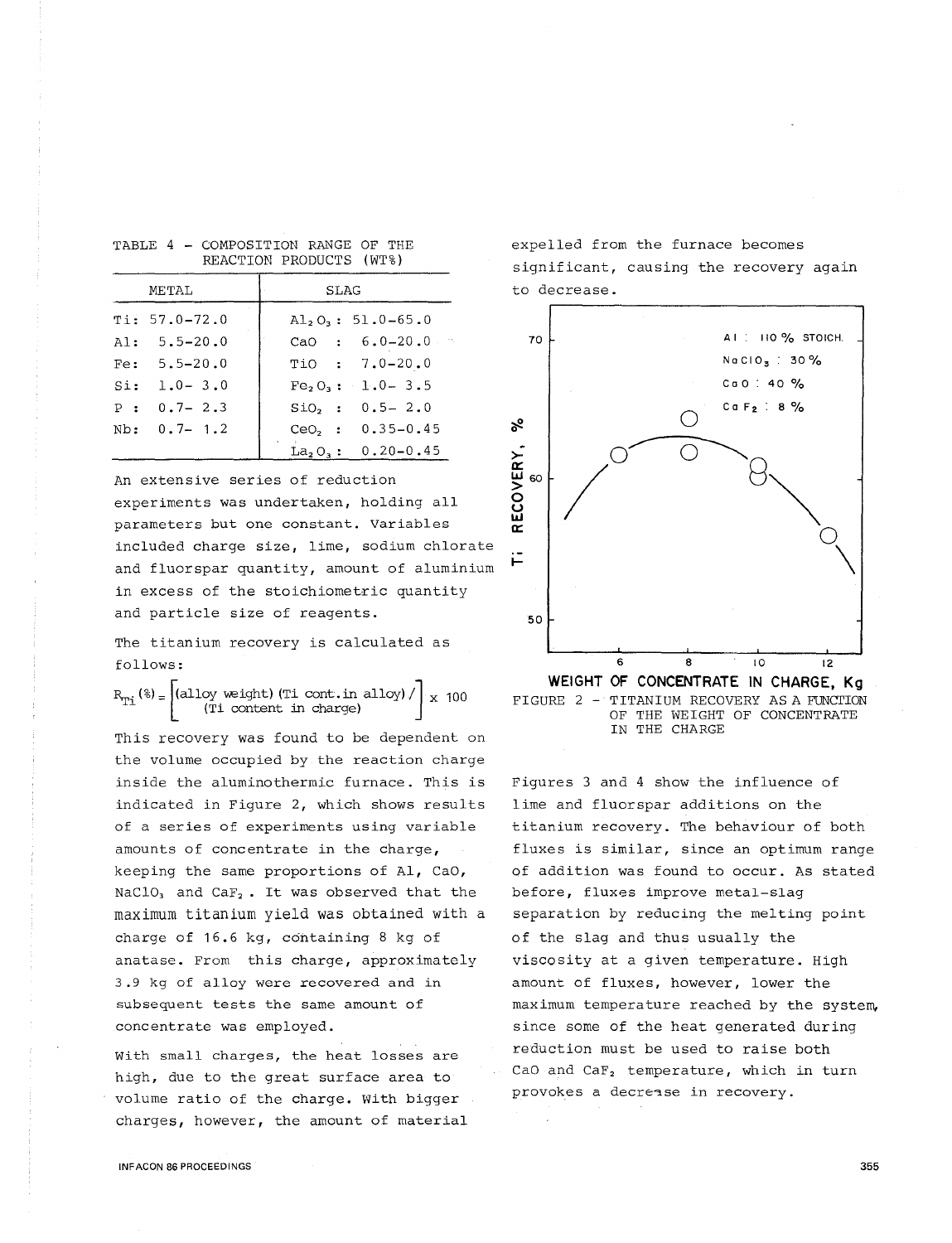|     | METAL                               | <b>SLAG</b>                                                |  |  |  |
|-----|-------------------------------------|------------------------------------------------------------|--|--|--|
|     | $Ti: 57.0 - 72.0$<br>$AI: 5.5-20.0$ | $\mathrm{Al}_2\mathrm{O}_3: 51.0-65.0$<br>CaO : $6.0-20.0$ |  |  |  |
|     | $Fe: 5.5-20.0$                      | $TiO$ : 7.0-20.0                                           |  |  |  |
| Si: | $1.0 - 3.0$                         | $Fe_2O_3$ : 1.0 - 3.5                                      |  |  |  |
|     | $P: 0.7 - 2.3$                      | $SIO, : 0.5 - 2.0$                                         |  |  |  |
|     | $Nb: 0.7 - 1.2$                     | CeO <sub>2</sub> : $0.35-0.45$                             |  |  |  |
|     |                                     | $La_2O_3: 0.20-0.45$                                       |  |  |  |

REACTION PRODUCTS (WT%)

TABLE 4 - COMPOSITION RANGE OF THE

An extensive series of reduction experiments was undertaken, holding all parameters but one constant. Variables included charge size, lime, sodium chlorate and fluorspar quantity, amount of aluminium in excess of the stoichiometric quantity and particle size of reagents.

The titanium recovery is calculated as follows:

 $R_{T_i}$  (%) =  $\begin{vmatrix} (alloy \text{ weight}) (Ti \text{ cont.in alloy}) / \\ (Ti \text{ content in charge}) \end{vmatrix}$  x 100

This recovery was found to be dependent on the volume occupied by the reaction charge inside the aluminothermic furnace. This is indicated in Figure 2, which shows results of a series of experiments using variable amounts of concentrate in the charge, keeping the same proportions of Al, Cao, NaClO<sub>3</sub> and CaF<sub>2</sub>. It was observed that the maximum titanium yield was obtained with a charge of 16.6 kg, containing 8 kg of anatase. From this charge, approximately 3.9 kg of alloy were recovered and in subsequent tests the same amount of concentrate was employed.

With small charges, the heat losses are high, due to the great surface area to volume ratio of the charge. With bigger charges, however, the amount of material expelled from the furnace becomes significant, causing the recovery again to decrease.



OF THE WEIGHT OF CONCENTRATE IN THE CHARGE

Figures 3 and 4 show the influence of lime and fluorspar additions on the titanium recovery. The behaviour of both fluxes is similar, since an optimum range of addition was found to occur. As stated before, fluxes improve metal-slag separation by reducing the melting point of the slag and thus usually the viscosity at a given temperature. High amount of fluxes, however, lower the maximum temperature reached by the system, since some of the heat generated during reduction must be used to raise both CaO and CaF<sub>2</sub> temperature, which in turn provokes a decrease in recovery.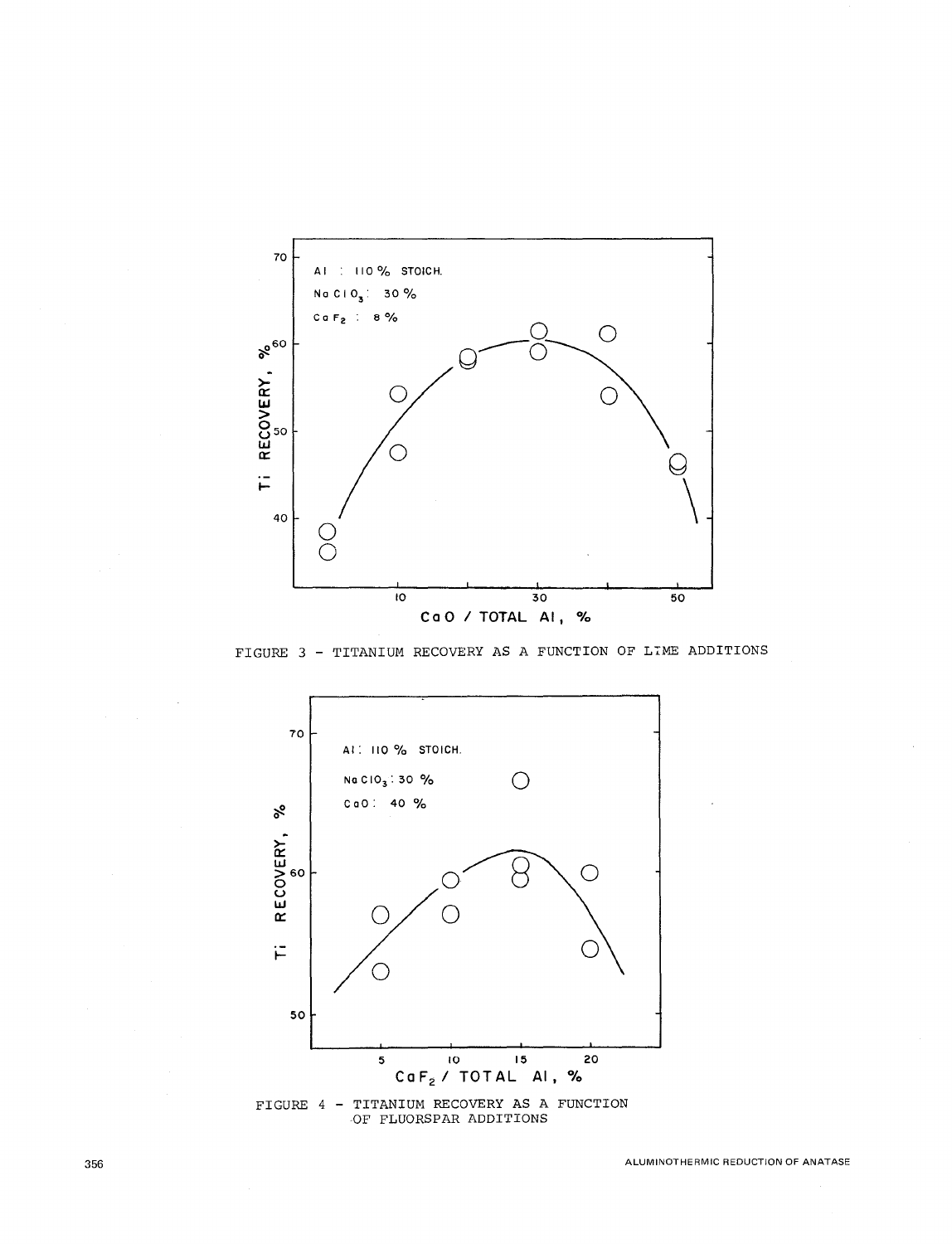

FIGURE 3 - TITANIUM RECOVERY AS A FUNCTION OF LIME ADDITIONS



 $\tt{FIGURE 4 - TITANIUM RECOVERY AS A FUNCTION OF FLUORSPAR ADDITIONS}$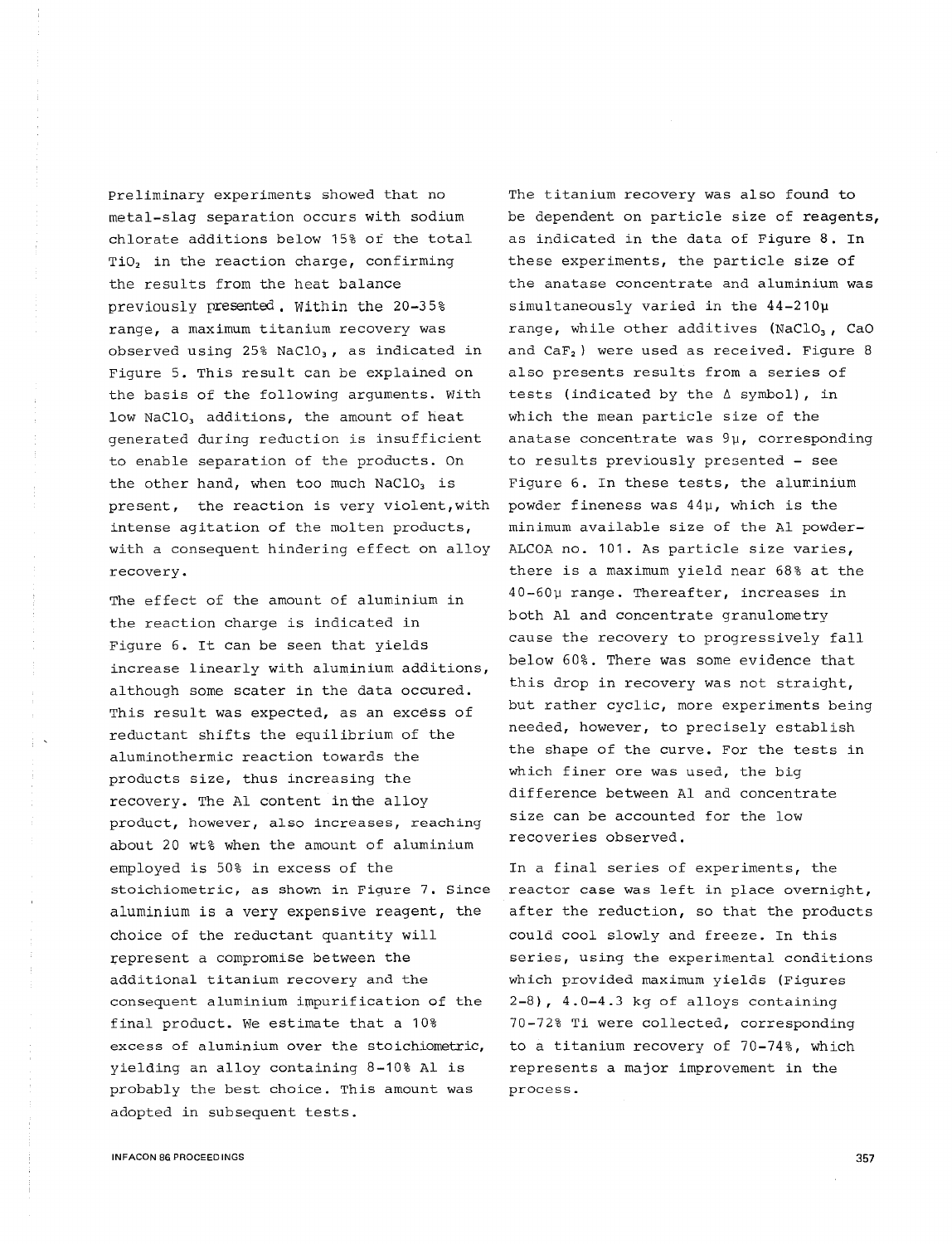Preliminary experiments showed that no metal-slag separation occurs with sodium chlorate additions below 15% of the total TiO<sub>2</sub> in the reaction charge, confirming the results from the heat balance previously presented. Within the 20-3 5% range, a maximum titanium recovery was observed using  $25\frac{8}{100}$  MaClO<sub>3</sub>, as indicated in Figure 5. This result can be explained on the basis of the following arguments. With low NaClO<sub>3</sub> additions, the amount of heat generated during reduction is insufficient to enable separation of the products. On the other hand, when too much  $NaClO<sub>3</sub>$  is present, the reaction is very violent,with intense agitation of the molten products, with a consequent hindering effect on alloy recovery.

The effect of the amount of aluminium in the reaction charge is indicated in Figure 6. It can be seen that yields increase linearly with aluminium additions, although some seater in the data occured. This result was expected, as an excess of reductant shifts the equilibrium of the aluminothermic reaction towards the products size, thus increasing the recovery. The Al content inthe alloy product, however, also increases, reaching about 20 wt% when the amount of aluminium employed is 50% in excess of the stoichiometric, as shown in Figure 7. Since aluminium is a very expensive reagent, the choice of the reductant quantity will represent a compromise between the additional titanium recovery and the consequent aluminium impurification of the final product. We estimate that a 10% excess of aluminium over the stoichiometric, yielding an alloy containing 8-10% Al is probably the best choice. This amount was adopted in subsequent tests.

The titanium recovery was also found to be dependent on particle size of reagents, as indicated in the data of Figure 8. In these experiments, the particle size of the anatase concentrate and aluminium was simultaneously varied in the 44-210µ range, while other additives (NaClO<sub>3</sub>, CaO and CaF<sub>2</sub> ) were used as received. Figure 8 also presents results from a series of tests (indicated by the  $\triangle$  symbol), in which the mean particle size of the anatase concentrate was 9µ, corresponding to results previously presented - see Figure 6. In these tests, the aluminium powder fineness was 44µ, which is the minimum available size of the Al powder-ALCOA no. 101. As particle size varies, there is a maximum yield near 68% at the 40-60µ range. Thereafter, increases in both Al and concentrate granulometry cause the recovery to progressively fall below 60%. There was some evidence that this drop in recovery was not straight, but rather cyclic, more experiments being needed, however, to precisely establish the shape of the curve. For the tests in which finer ore was used, the big difference between Al and concentrate size can be accounted for the low recoveries observed.

In a final series of experiments, the reactor case was left in place overnight, after the reduction, so that the products could cool slowly and freeze. In this series, using the experimental conditions which provided maximum yields (Figures 2-8), 4.0-4.3 kg of alloys containing 70-72% Ti were collected, corresponding to a titanium recovery of 70-74%, which represents a major improvement in the process.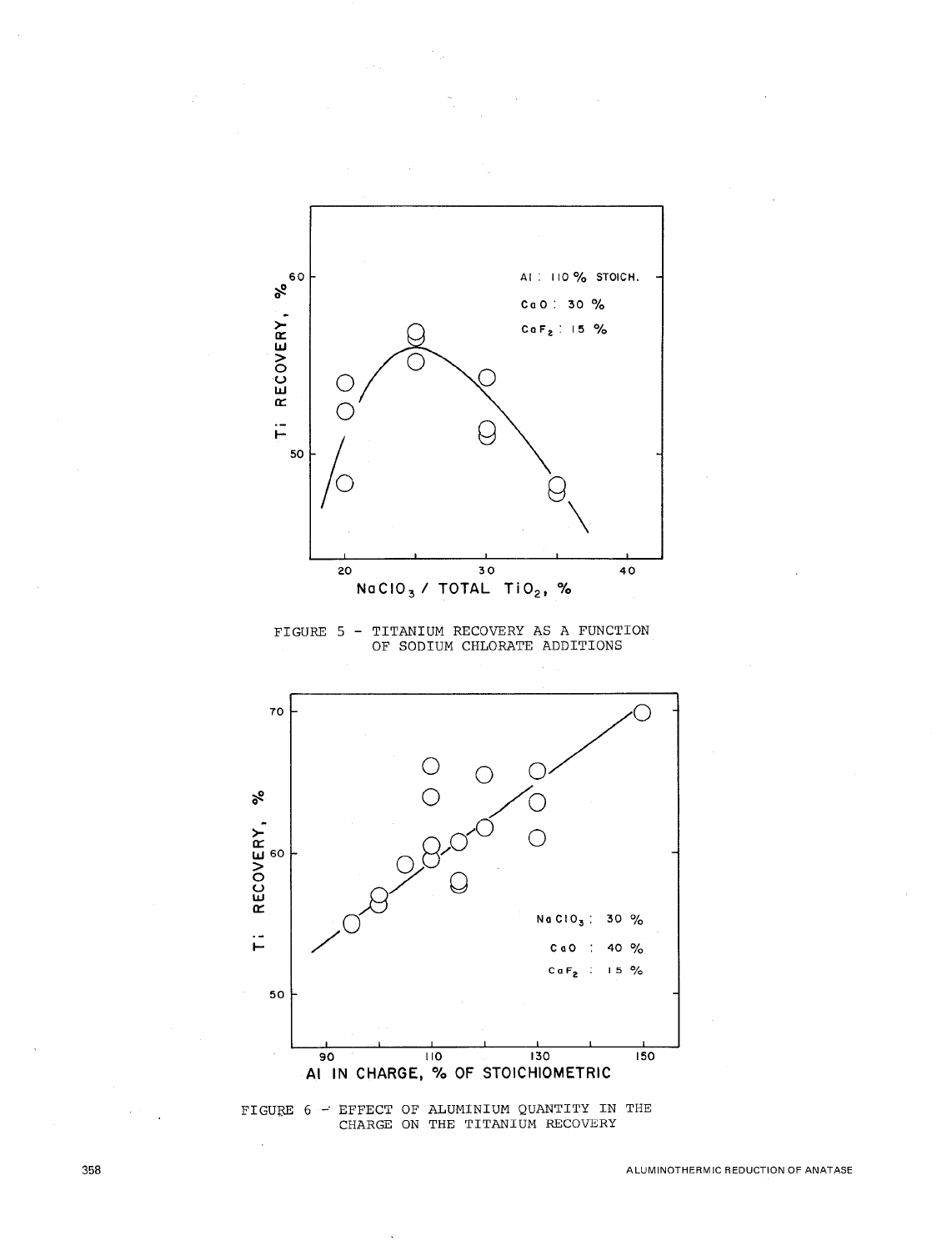

FIGURE 5 - TITANIUM RECOVERY AS A FUNCTION<br>OF SODIUM CHLORATE ADDITIONS



 $\tt{FIGURE 6 - EFFECT OF ALUMINIUM QUANTITY IN THE  
CHARGE ON THE TITANIUM RECOVERY}$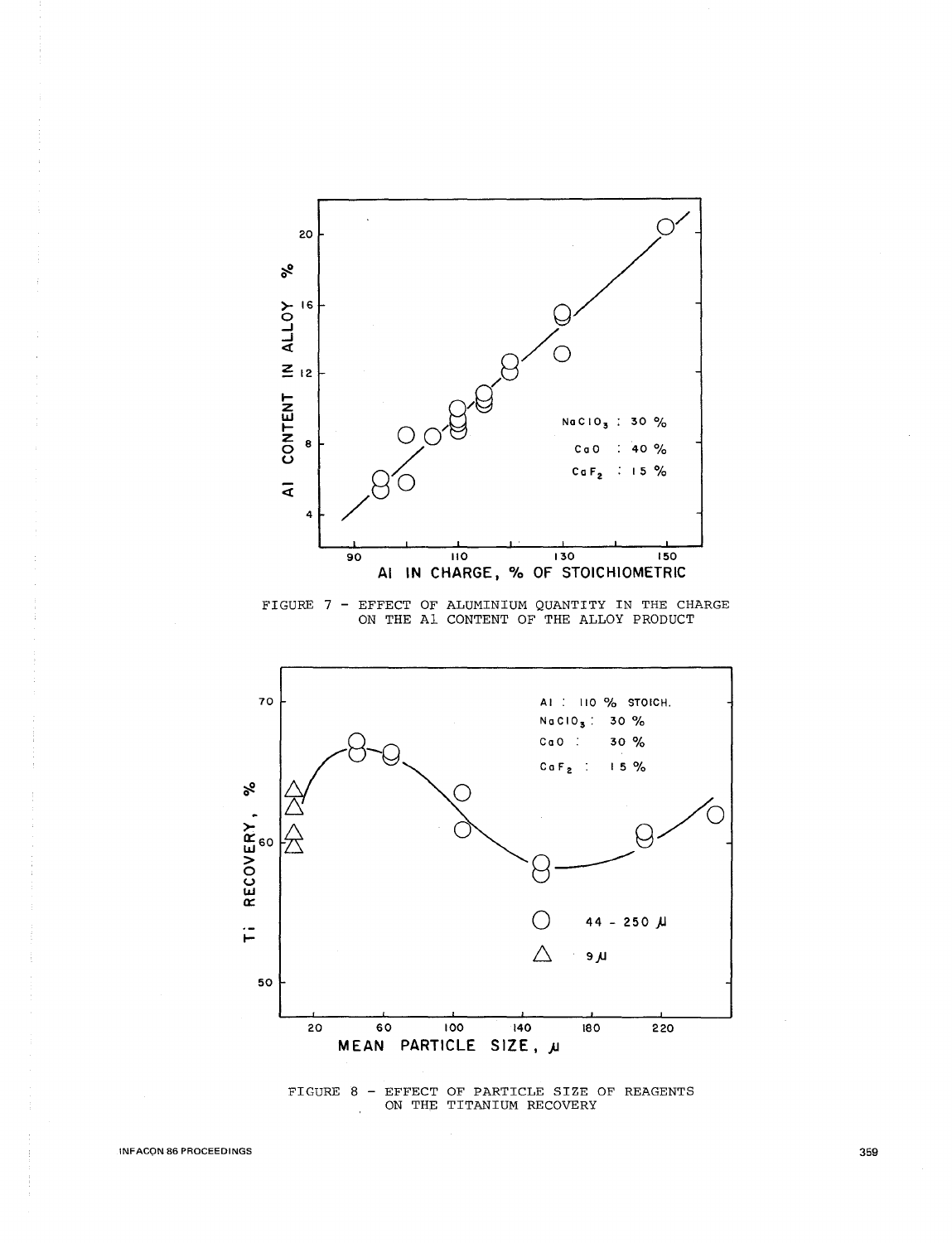

FIGURE 7 - EFFECT OF ALUMINIUM QUANTITY IN THE CHARGE ON THE A1 CONTENT OF THE ALLOY PRODUCT



 $\tt FIGURE 8 - EFFECT OF PARTICLE SIZE OF REAGENTS  
ON THE TITANIUM RECOVERY$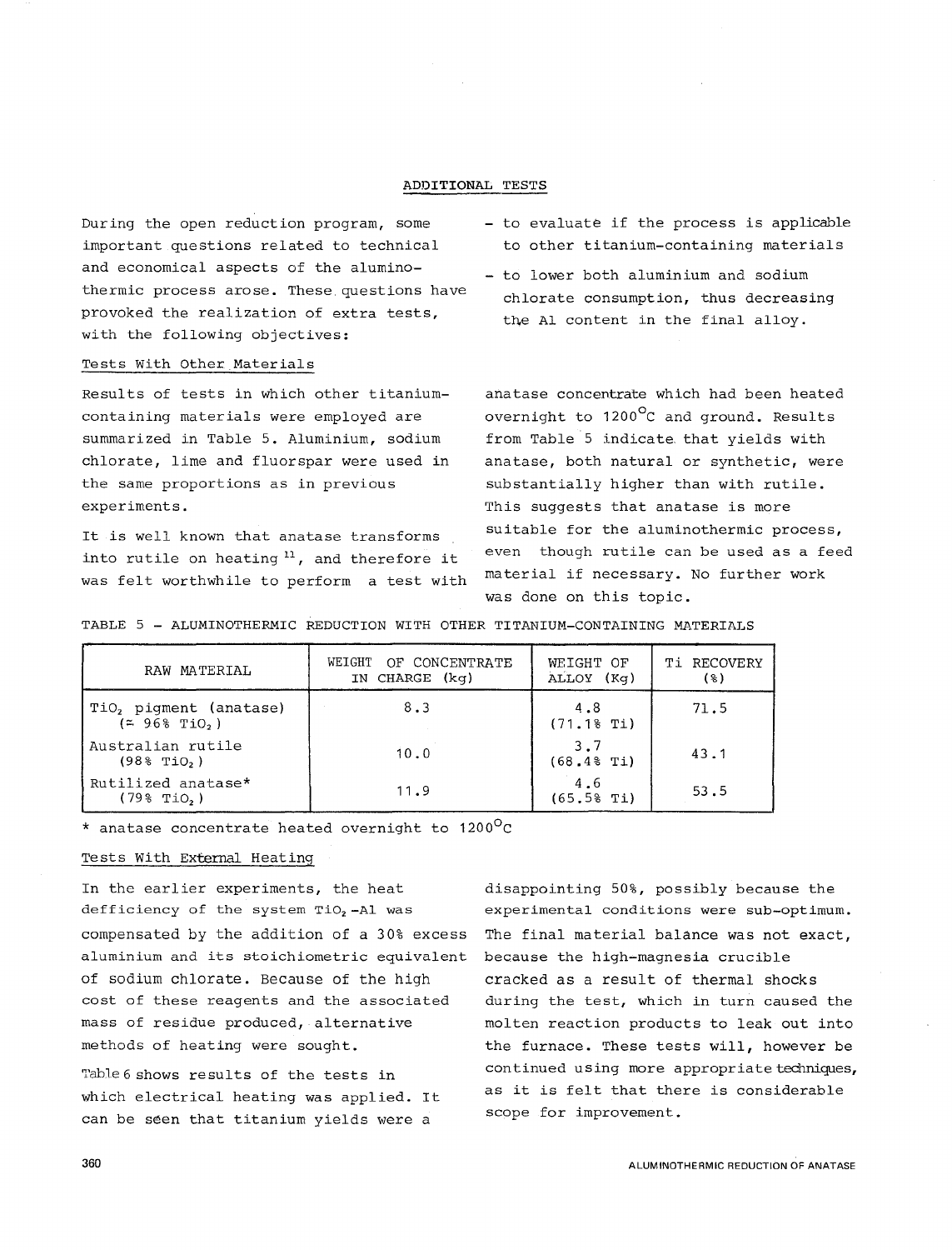## ADDITIONAL TESTS

During the open reduction program, some important questions related to technical and economical aspects of the aluminothermic process arose. These questions have provoked the realization of extra tests, with the following objectives:

# Tests With Other Materials

Results of tests in which other titaniumcontaining materials were employed are summarized in Table 5. Aluminium, sodium chlorate, lime and fluorspar were used in the same proportions as in previous experiments.

It is well known that anatase transforms into rutile on heating 11 , and therefore it was felt worthwhile to perform a test with

- to evaluate if the process is applicable to other titanium-containing materials
- to lower both aluminium and sodium chlorate consumption, thus decreasing the Al content in the final alloy.

anatase concentrate which had been heated overnight to 1200<sup>o</sup>C and ground. Results from Table 5 indicate that yields with anatase, both natural or synthetic, were substantially higher than with rutile. This suggests that anatase is more suitable for the aluminothermic process, even though rutile can be used as a feed material if necessary. No further work was done on this topic.

TABLE 5 - ALUMINOTHERMIC REDUCTION WITH OTHER TITANIUM-CONTAINING MATERIALS

| RAW MATERIAL                                             | WEIGHT OF CONCENTRATE<br>IN CHARGE (kq) | WEIGHT OF<br>ALLOY (Kq) | <b>Ti RECOVERY</b><br>(§) |
|----------------------------------------------------------|-----------------------------------------|-------------------------|---------------------------|
| TiO, piqment (anatase)<br>$($ $=$ 96% TiO <sub>2</sub> ) | 8.3                                     | 4.8<br>(71.18 Ti)       | 71.5                      |
| Australian rutile<br>$(98\%$ TiO <sub>2</sub> )          | 10.0                                    | 3.7<br>$(68.48$ Ti)     | 43.1                      |
| Rutilized anatase*<br>$(79\%$ TiO <sub>2</sub> )         | 11.9                                    | 4.6<br>(65.58 Ti)       | 53.5                      |

\* anatase concentrate heated overnight to 1200°c

# Tests With External Heating

In the earlier experiments, the heat defficiency of the system  $TiO<sub>2</sub> - A1$  was compensated by the addition of a 30% excess aluminium and its stoichiometric equivalent of sodium chlorate. Because of the high cost of these reagents and the associated mass of residue produced, alternative methods of heating were sought.

Table 6 shows results of the tests in which electrical heating was applied. It can be seen that titanium yields were a

disappointing 50%, possibly because the experimental conditions were sub-optimum. The final material balance was not exact, because the high-magnesia crucible cracked as a result of thermal shocks during the test, which in turn caused the molten reaction products to leak out into the furnace. These tests will, however be continued using more appropriate techniques, as it is felt that there is considerable scope for improvement.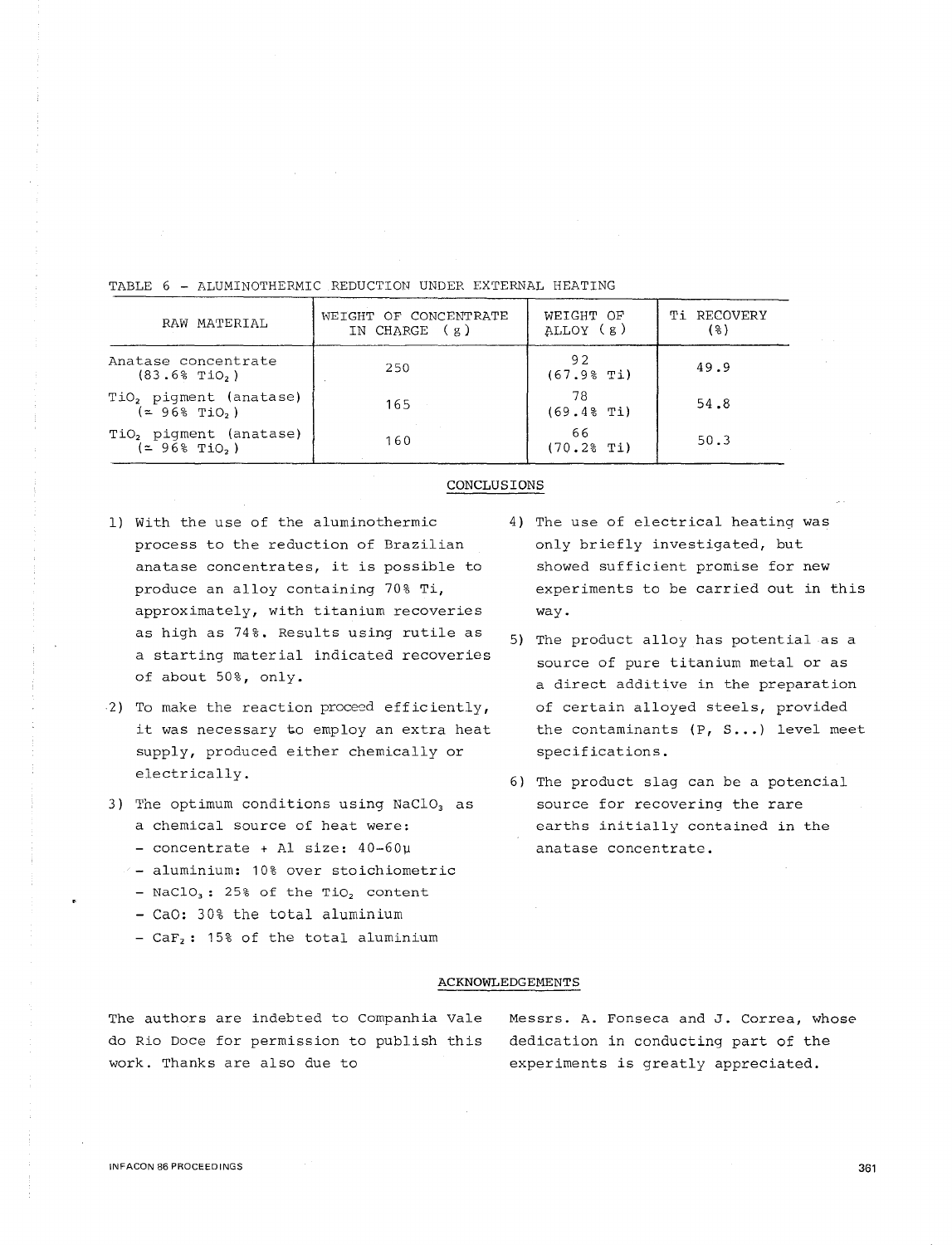| RAW MATERIAL                                                               | WEIGHT OF CONCENTRATE<br>IN CHARGE $(g)$ | WEIGHT OF<br>ALLOY (g) | <b>Ti RECOVERY</b><br>( १ ) |
|----------------------------------------------------------------------------|------------------------------------------|------------------------|-----------------------------|
| Anatase concentrate<br>$(83.6%$ TiO <sub>2</sub> )                         | 250                                      | 92<br>(67.98 Ti)       | 49.9                        |
| TiO <sub>2</sub> pigment (anatase)<br>$(2 968$ TiO <sub>2</sub> )          | 165                                      | 78<br>$(69.48$ Ti)     | 54.8                        |
| TiO <sub>2</sub> piqment (anatase)<br>$($ $\approx$ 96% TiO <sub>2</sub> ) | 160                                      | 66<br>$(70.28$ Ti)     | 50.3                        |

# TABLE 6 - ALUMINOTHERMIC REDUCTION UNDER EXTERNAL HEATING

#### CONCLUSIONS

- 1) With the use of the aluminothermic process to the reduction of Brazilian anatase concentrates, it is possible to produce an alloy containing 70% Ti, approximately, with titanium recoveries as high as 74%. Results using rutile as a starting material indicated recoveries of about 50%, only.
- 2) To make the reaction proceed efficiently, it was necessary to employ an extra heat supply, produced either chemically or electrically.
- 3) The optimum conditions using  $NaClO<sub>3</sub>$  as a chemical source of heat were:
	- concentrate + Al size: 40-60µ
	- aluminium: 10% over stoichiometric
	- NaClO<sub>3</sub>: 25% of the TiO<sub>2</sub> content
	- Cao: 30% the total aluminium
	- $-$  CaF<sub>2</sub>: 15% of the total aluminium
- 4) The use of electrical heating was only briefly investigated, but showed sufficient promise for new experiments to be carried out in this way.
- 5) The product alloy has potential as a source of pure titanium metal or as a direct additive in the preparation of certain alloyed steels, provided the contaminants  $(P, S...)$  level meet specifications.
- 6) The product slag can be a potencial source for recovering the rare earths initially contained in the anatase concentrate.

### ACKNOWLEDGEMENTS

The authors are indebted to Companhia Vale do Rio Doce for permission to publish this work. Thanks are also due to

Messrs. A. Fonseca and J. Correa, whose dedication in conducting part of the experiments is greatly appreciated.